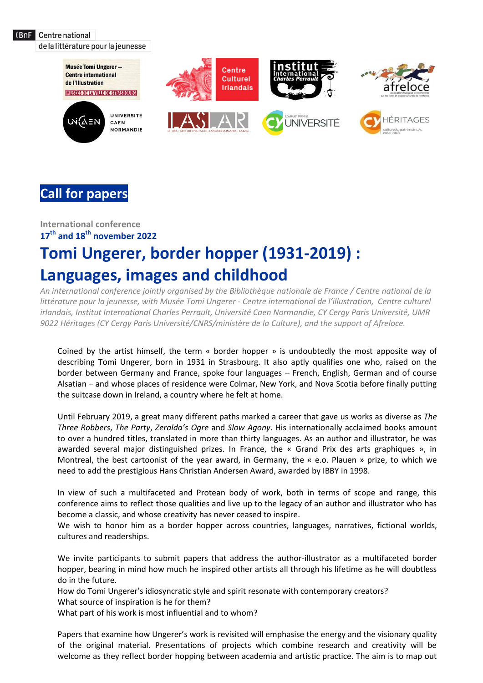(BnF Centre national

de la littérature pour la jeunesse



# **Call for papers**

## **International conference 17 th and 18 th november 2022 Tomi Ungerer, border hopper (1931-2019) : Languages, images and childhood**

*An international conference jointly organised by the Bibliothèque nationale de France / Centre national de la littérature pour la jeunesse, with Musée Tomi Ungerer - Centre international de l'illustration, Centre culturel irlandais, Institut International Charles Perrault, Université Caen Normandie, CY Cergy Paris Université, UMR 9022 Héritages (CY Cergy Paris Université/CNRS/ministère de la Culture), and the support of Afreloce.*

Coined by the artist himself, the term « border hopper » is undoubtedly the most apposite way of describing Tomi Ungerer, born in 1931 in Strasbourg. It also aptly qualifies one who, raised on the border between Germany and France, spoke four languages – French, English, German and of course Alsatian – and whose places of residence were Colmar, New York, and Nova Scotia before finally putting the suitcase down in Ireland, a country where he felt at home.

Until February 2019, a great many different paths marked a career that gave us works as diverse as *The Three Robbers*, *The Party*, *Zeralda's Ogre* and *Slow Agony*. His internationally acclaimed books amount to over a hundred titles, translated in more than thirty languages. As an author and illustrator, he was awarded several major distinguished prizes. In France, the « Grand Prix des arts graphiques », in Montreal, the best cartoonist of the year award, in Germany, the « e.o. Plauen » prize, to which we need to add the prestigious Hans Christian Andersen Award, awarded by IBBY in 1998.

In view of such a multifaceted and Protean body of work, both in terms of scope and range, this conference aims to reflect those qualities and live up to the legacy of an author and illustrator who has become a classic, and whose creativity has never ceased to inspire.

We wish to honor him as a border hopper across countries, languages, narratives, fictional worlds, cultures and readerships.

We invite participants to submit papers that address the author-illustrator as a multifaceted border hopper, bearing in mind how much he inspired other artists all through his lifetime as he will doubtless do in the future.

How do Tomi Ungerer's idiosyncratic style and spirit resonate with contemporary creators?

What source of inspiration is he for them?

What part of his work is most influential and to whom?

Papers that examine how Ungerer's work is revisited will emphasise the energy and the visionary quality of the original material. Presentations of projects which combine research and creativity will be welcome as they reflect border hopping between academia and artistic practice. The aim is to map out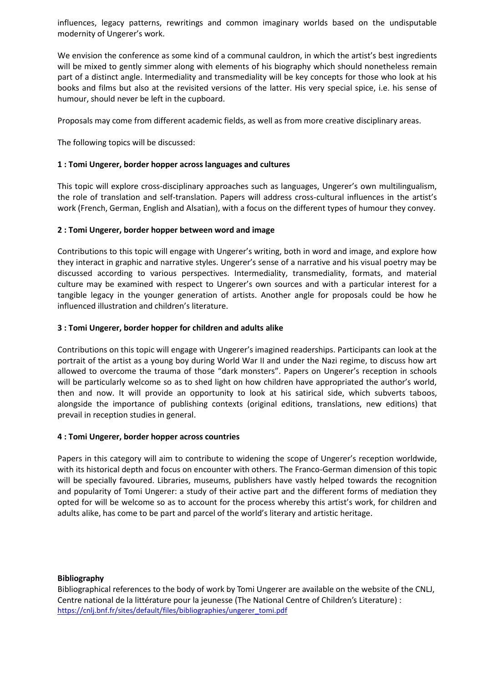influences, legacy patterns, rewritings and common imaginary worlds based on the undisputable modernity of Ungerer's work.

We envision the conference as some kind of a communal cauldron, in which the artist's best ingredients will be mixed to gently simmer along with elements of his biography which should nonetheless remain part of a distinct angle. Intermediality and transmediality will be key concepts for those who look at his books and films but also at the revisited versions of the latter. His very special spice, i.e. his sense of humour, should never be left in the cupboard.

Proposals may come from different academic fields, as well as from more creative disciplinary areas.

The following topics will be discussed:

## **1 : Tomi Ungerer, border hopper across languages and cultures**

This topic will explore cross-disciplinary approaches such as languages, Ungerer's own multilingualism, the role of translation and self-translation. Papers will address cross-cultural influences in the artist's work (French, German, English and Alsatian), with a focus on the different types of humour they convey.

## **2 : Tomi Ungerer, border hopper between word and image**

Contributions to this topic will engage with Ungerer's writing, both in word and image, and explore how they interact in graphic and narrative styles. Ungerer's sense of a narrative and his visual poetry may be discussed according to various perspectives. Intermediality, transmediality, formats, and material culture may be examined with respect to Ungerer's own sources and with a particular interest for a tangible legacy in the younger generation of artists. Another angle for proposals could be how he influenced illustration and children's literature.

## **3 : Tomi Ungerer, border hopper for children and adults alike**

Contributions on this topic will engage with Ungerer's imagined readerships. Participants can look at the portrait of the artist as a young boy during World War II and under the Nazi regime, to discuss how art allowed to overcome the trauma of those "dark monsters". Papers on Ungerer's reception in schools will be particularly welcome so as to shed light on how children have appropriated the author's world, then and now. It will provide an opportunity to look at his satirical side, which subverts taboos, alongside the importance of publishing contexts (original editions, translations, new editions) that prevail in reception studies in general.

#### **4 : Tomi Ungerer, border hopper across countries**

Papers in this category will aim to contribute to widening the scope of Ungerer's reception worldwide, with its historical depth and focus on encounter with others. The Franco-German dimension of this topic will be specially favoured. Libraries, museums, publishers have vastly helped towards the recognition and popularity of Tomi Ungerer: a study of their active part and the different forms of mediation they opted for will be welcome so as to account for the process whereby this artist's work, for children and adults alike, has come to be part and parcel of the world's literary and artistic heritage.

#### **Bibliography**

Bibliographical references to the body of work by Tomi Ungerer are available on the website of the CNLJ, Centre national de la littérature pour la jeunesse (The National Centre of Children's Literature) : [https://cnlj.bnf.fr/sites/default/files/bibliographies/ungerer\\_tomi.pdf](https://cnlj.bnf.fr/sites/default/files/bibliographies/ungerer_tomi.pdf)